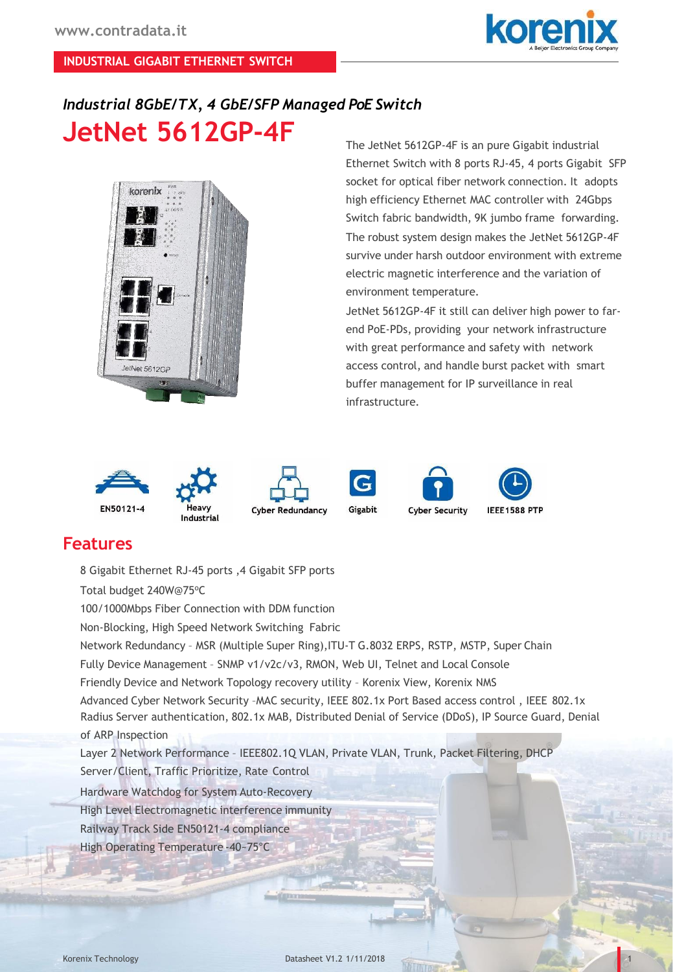

1

## *Industrial 8GbE/TX, 4 GbE/SFP Managed PoE Switch* **JetNet 5612GP-4F**



The JetNet 5612GP-4F is an pure Gigabit industrial Ethernet Switch with 8 ports RJ-45, 4 ports Gigabit SFP socket for optical fiber network connection. It adopts high efficiency Ethernet MAC controller with 24Gbps Switch fabric bandwidth, 9K jumbo frame forwarding. The robust system design makes the JetNet 5612GP-4F survive under harsh outdoor environment with extreme electric magnetic interference and the variation of environment temperature.

JetNet 5612GP-4F it still can deliver high power to farend PoE-PDs, providing your network infrastructure with great performance and safety with network access control, and handle burst packet with smart buffer management for IP surveillance in real infrastructure.



## **Features**

8 Gigabit Ethernet RJ-45 ports ,4 Gigabit SFP ports Total budget 240W@75°C 100/1000Mbps Fiber Connection with DDM function Non-Blocking, High Speed Network Switching Fabric Network Redundancy – MSR (Multiple Super Ring),ITU-T G.8032 ERPS, RSTP, MSTP, Super Chain Fully Device Management – SNMP v1/v2c/v3, RMON, Web UI, Telnet and Local Console Friendly Device and Network Topology recovery utility – Korenix View, Korenix NMS Advanced Cyber Network Security –MAC security, IEEE 802.1x Port Based access control , IEEE 802.1x Radius Server authentication, 802.1x MAB, Distributed Denial of Service (DDoS), IP Source Guard, Denial of ARP Inspection Layer 2 Network Performance – IEEE802.1Q VLAN, Private VLAN, Trunk, Packet Filtering, DHCP Server/Client, Traffic Prioritize, Rate Control Hardware Watchdog for System Auto-Recovery High Level Electromagnetic interference immunity Railway Track Side EN50121-4 compliance High Operating Temperature -40~75°C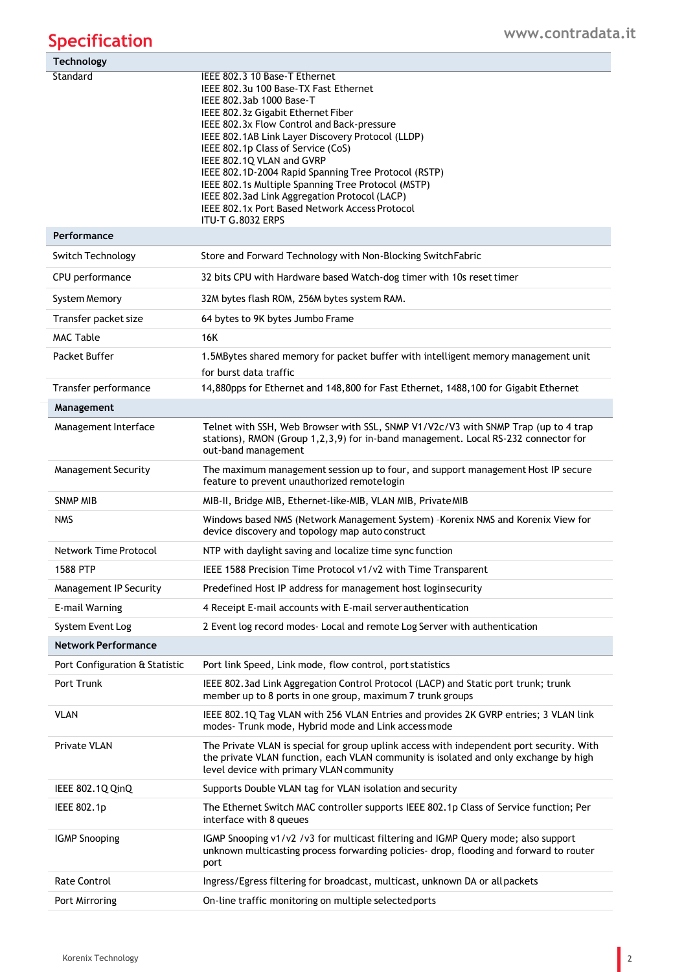## **Specification**

| <b>Technology</b>              |                                                                                                                                                                                                                                                                                                                                                                                                                                                                                                                                                      |
|--------------------------------|------------------------------------------------------------------------------------------------------------------------------------------------------------------------------------------------------------------------------------------------------------------------------------------------------------------------------------------------------------------------------------------------------------------------------------------------------------------------------------------------------------------------------------------------------|
| Standard                       | IEEE 802.3 10 Base-T Ethernet<br>IEEE 802.3u 100 Base-TX Fast Ethernet<br>IEEE 802.3ab 1000 Base-T<br>IEEE 802.3z Gigabit Ethernet Fiber<br>IEEE 802.3x Flow Control and Back-pressure<br>IEEE 802.1AB Link Layer Discovery Protocol (LLDP)<br>IEEE 802.1p Class of Service (CoS)<br>IEEE 802.1Q VLAN and GVRP<br>IEEE 802.1D-2004 Rapid Spanning Tree Protocol (RSTP)<br>IEEE 802.1s Multiple Spanning Tree Protocol (MSTP)<br>IEEE 802.3ad Link Aggregation Protocol (LACP)<br>IEEE 802.1x Port Based Network Access Protocol<br>ITU-T G.8032 ERPS |
| Performance                    |                                                                                                                                                                                                                                                                                                                                                                                                                                                                                                                                                      |
| Switch Technology              | Store and Forward Technology with Non-Blocking SwitchFabric                                                                                                                                                                                                                                                                                                                                                                                                                                                                                          |
| CPU performance                | 32 bits CPU with Hardware based Watch-dog timer with 10s reset timer                                                                                                                                                                                                                                                                                                                                                                                                                                                                                 |
| System Memory                  | 32M bytes flash ROM, 256M bytes system RAM.                                                                                                                                                                                                                                                                                                                                                                                                                                                                                                          |
| Transfer packet size           | 64 bytes to 9K bytes Jumbo Frame                                                                                                                                                                                                                                                                                                                                                                                                                                                                                                                     |
| <b>MAC Table</b>               | 16K                                                                                                                                                                                                                                                                                                                                                                                                                                                                                                                                                  |
| Packet Buffer                  | 1.5MBytes shared memory for packet buffer with intelligent memory management unit<br>for burst data traffic                                                                                                                                                                                                                                                                                                                                                                                                                                          |
| Transfer performance           | 14,880pps for Ethernet and 148,800 for Fast Ethernet, 1488,100 for Gigabit Ethernet                                                                                                                                                                                                                                                                                                                                                                                                                                                                  |
| Management                     |                                                                                                                                                                                                                                                                                                                                                                                                                                                                                                                                                      |
| Management Interface           | Telnet with SSH, Web Browser with SSL, SNMP V1/V2c/V3 with SNMP Trap (up to 4 trap<br>stations), RMON (Group 1,2,3,9) for in-band management. Local RS-232 connector for<br>out-band management                                                                                                                                                                                                                                                                                                                                                      |
| <b>Management Security</b>     | The maximum management session up to four, and support management Host IP secure<br>feature to prevent unauthorized remotelogin                                                                                                                                                                                                                                                                                                                                                                                                                      |
| <b>SNMP MIB</b>                | MIB-II, Bridge MIB, Ethernet-like-MIB, VLAN MIB, PrivateMIB                                                                                                                                                                                                                                                                                                                                                                                                                                                                                          |
| <b>NMS</b>                     | Windows based NMS (Network Management System) - Korenix NMS and Korenix View for<br>device discovery and topology map auto construct                                                                                                                                                                                                                                                                                                                                                                                                                 |
| <b>Network Time Protocol</b>   | NTP with daylight saving and localize time sync function                                                                                                                                                                                                                                                                                                                                                                                                                                                                                             |
| 1588 PTP                       | IEEE 1588 Precision Time Protocol v1/v2 with Time Transparent                                                                                                                                                                                                                                                                                                                                                                                                                                                                                        |
| Management IP Security         | Predefined Host IP address for management host loginsecurity                                                                                                                                                                                                                                                                                                                                                                                                                                                                                         |
| E-mail Warning                 | 4 Receipt E-mail accounts with E-mail server authentication                                                                                                                                                                                                                                                                                                                                                                                                                                                                                          |
| System Event Log               | 2 Event log record modes- Local and remote Log Server with authentication                                                                                                                                                                                                                                                                                                                                                                                                                                                                            |
| <b>Network Performance</b>     |                                                                                                                                                                                                                                                                                                                                                                                                                                                                                                                                                      |
| Port Configuration & Statistic | Port link Speed, Link mode, flow control, port statistics                                                                                                                                                                                                                                                                                                                                                                                                                                                                                            |
| Port Trunk                     | IEEE 802.3ad Link Aggregation Control Protocol (LACP) and Static port trunk; trunk<br>member up to 8 ports in one group, maximum 7 trunk groups                                                                                                                                                                                                                                                                                                                                                                                                      |
| <b>VLAN</b>                    | IEEE 802.1Q Tag VLAN with 256 VLAN Entries and provides 2K GVRP entries; 3 VLAN link<br>modes-Trunk mode, Hybrid mode and Link access mode                                                                                                                                                                                                                                                                                                                                                                                                           |
| Private VLAN                   | The Private VLAN is special for group uplink access with independent port security. With<br>the private VLAN function, each VLAN community is isolated and only exchange by high<br>level device with primary VLAN community                                                                                                                                                                                                                                                                                                                         |
| IEEE 802.1Q QinQ               | Supports Double VLAN tag for VLAN isolation and security                                                                                                                                                                                                                                                                                                                                                                                                                                                                                             |
| IEEE 802.1p                    | The Ethernet Switch MAC controller supports IEEE 802.1p Class of Service function; Per<br>interface with 8 queues                                                                                                                                                                                                                                                                                                                                                                                                                                    |
| <b>IGMP Snooping</b>           | IGMP Snooping v1/v2 /v3 for multicast filtering and IGMP Query mode; also support<br>unknown multicasting process forwarding policies- drop, flooding and forward to router<br>port                                                                                                                                                                                                                                                                                                                                                                  |
| <b>Rate Control</b>            | Ingress/Egress filtering for broadcast, multicast, unknown DA or all packets                                                                                                                                                                                                                                                                                                                                                                                                                                                                         |
| Port Mirroring                 | On-line traffic monitoring on multiple selected ports                                                                                                                                                                                                                                                                                                                                                                                                                                                                                                |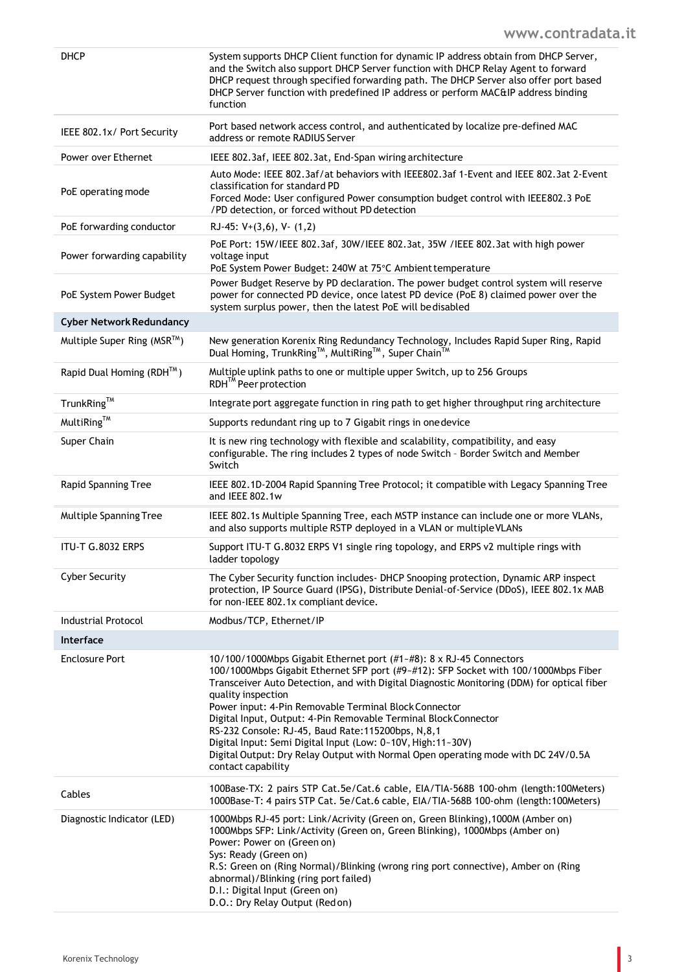| DHCP                            | System supports DHCP Client function for dynamic IP address obtain from DHCP Server,<br>and the Switch also support DHCP Server function with DHCP Relay Agent to forward<br>DHCP request through specified forwarding path. The DHCP Server also offer port based<br>DHCP Server function with predefined IP address or perform MAC&IP address binding<br>function                                                                                                                                                                                                                                                                          |
|---------------------------------|----------------------------------------------------------------------------------------------------------------------------------------------------------------------------------------------------------------------------------------------------------------------------------------------------------------------------------------------------------------------------------------------------------------------------------------------------------------------------------------------------------------------------------------------------------------------------------------------------------------------------------------------|
| IEEE 802.1x/ Port Security      | Port based network access control, and authenticated by localize pre-defined MAC<br>address or remote RADIUS Server                                                                                                                                                                                                                                                                                                                                                                                                                                                                                                                          |
| Power over Ethernet             | IEEE 802.3af, IEEE 802.3at, End-Span wiring architecture                                                                                                                                                                                                                                                                                                                                                                                                                                                                                                                                                                                     |
| PoE operating mode              | Auto Mode: IEEE 802.3af/at behaviors with IEEE802.3af 1-Event and IEEE 802.3at 2-Event<br>classification for standard PD<br>Forced Mode: User configured Power consumption budget control with IEEE802.3 PoE<br>/PD detection, or forced without PD detection                                                                                                                                                                                                                                                                                                                                                                                |
| PoE forwarding conductor        | RJ-45: $V+(3,6)$ , $V-(1,2)$                                                                                                                                                                                                                                                                                                                                                                                                                                                                                                                                                                                                                 |
| Power forwarding capability     | PoE Port: 15W/IEEE 802.3af, 30W/IEEE 802.3at, 35W /IEEE 802.3at with high power<br>voltage input<br>PoE System Power Budget: 240W at 75°C Ambient temperature                                                                                                                                                                                                                                                                                                                                                                                                                                                                                |
| PoE System Power Budget         | Power Budget Reserve by PD declaration. The power budget control system will reserve<br>power for connected PD device, once latest PD device (PoE 8) claimed power over the<br>system surplus power, then the latest PoE will bedisabled                                                                                                                                                                                                                                                                                                                                                                                                     |
| <b>Cyber Network Redundancy</b> |                                                                                                                                                                                                                                                                                                                                                                                                                                                                                                                                                                                                                                              |
| Multiple Super Ring (MSR™)      | New generation Korenix Ring Redundancy Technology, Includes Rapid Super Ring, Rapid<br>Dual Homing, TrunkRing™, MultiRing™, Super Chain™                                                                                                                                                                                                                                                                                                                                                                                                                                                                                                     |
| Rapid Dual Homing (RDH™)        | Multiple uplink paths to one or multiple upper Switch, up to 256 Groups<br>RDH <sup>™</sup> Peer protection                                                                                                                                                                                                                                                                                                                                                                                                                                                                                                                                  |
| TrunkRing™                      | Integrate port aggregate function in ring path to get higher throughput ring architecture                                                                                                                                                                                                                                                                                                                                                                                                                                                                                                                                                    |
| MultiRing™                      | Supports redundant ring up to 7 Gigabit rings in one device                                                                                                                                                                                                                                                                                                                                                                                                                                                                                                                                                                                  |
| Super Chain                     | It is new ring technology with flexible and scalability, compatibility, and easy<br>configurable. The ring includes 2 types of node Switch - Border Switch and Member<br>Switch                                                                                                                                                                                                                                                                                                                                                                                                                                                              |
| Rapid Spanning Tree             | IEEE 802.1D-2004 Rapid Spanning Tree Protocol; it compatible with Legacy Spanning Tree<br>and IEEE 802.1w                                                                                                                                                                                                                                                                                                                                                                                                                                                                                                                                    |
| Multiple Spanning Tree          | IEEE 802.1s Multiple Spanning Tree, each MSTP instance can include one or more VLANs,<br>and also supports multiple RSTP deployed in a VLAN or multiple VLANs                                                                                                                                                                                                                                                                                                                                                                                                                                                                                |
| ITU-T G.8032 ERPS               | Support ITU-T G.8032 ERPS V1 single ring topology, and ERPS v2 multiple rings with<br>ladder topology                                                                                                                                                                                                                                                                                                                                                                                                                                                                                                                                        |
| <b>Cyber Security</b>           | The Cyber Security function includes- DHCP Snooping protection, Dynamic ARP inspect<br>protection, IP Source Guard (IPSG), Distribute Denial-of-Service (DDoS), IEEE 802.1x MAB<br>for non-IEEE 802.1x compliant device.                                                                                                                                                                                                                                                                                                                                                                                                                     |
| <b>Industrial Protocol</b>      | Modbus/TCP, Ethernet/IP                                                                                                                                                                                                                                                                                                                                                                                                                                                                                                                                                                                                                      |
| <b>Interface</b>                |                                                                                                                                                                                                                                                                                                                                                                                                                                                                                                                                                                                                                                              |
| <b>Enclosure Port</b>           | 10/100/1000Mbps Gigabit Ethernet port (#1~#8): 8 x RJ-45 Connectors<br>100/1000Mbps Gigabit Ethernet SFP port (#9~#12): SFP Socket with 100/1000Mbps Fiber<br>Transceiver Auto Detection, and with Digital Diagnostic Monitoring (DDM) for optical fiber<br>quality inspection<br>Power input: 4-Pin Removable Terminal Block Connector<br>Digital Input, Output: 4-Pin Removable Terminal Block Connector<br>RS-232 Console: RJ-45, Baud Rate: 115200bps, N, 8, 1<br>Digital Input: Semi Digital Input (Low: 0~10V, High:11~30V)<br>Digital Output: Dry Relay Output with Normal Open operating mode with DC 24V/0.5A<br>contact capability |
| Cables                          | 100Base-TX: 2 pairs STP Cat.5e/Cat.6 cable, EIA/TIA-568B 100-ohm (length:100Meters)<br>1000Base-T: 4 pairs STP Cat. 5e/Cat.6 cable, EIA/TIA-568B 100-ohm (length:100Meters)                                                                                                                                                                                                                                                                                                                                                                                                                                                                  |
| Diagnostic Indicator (LED)      | 1000Mbps RJ-45 port: Link/Acrivity (Green on, Green Blinking), 1000M (Amber on)<br>1000Mbps SFP: Link/Activity (Green on, Green Blinking), 1000Mbps (Amber on)<br>Power: Power on (Green on)<br>Sys: Ready (Green on)<br>R.S: Green on (Ring Normal)/Blinking (wrong ring port connective), Amber on (Ring<br>abnormal)/Blinking (ring port failed)<br>D.I.: Digital Input (Green on)<br>D.O.: Dry Relay Output (Red on)                                                                                                                                                                                                                     |